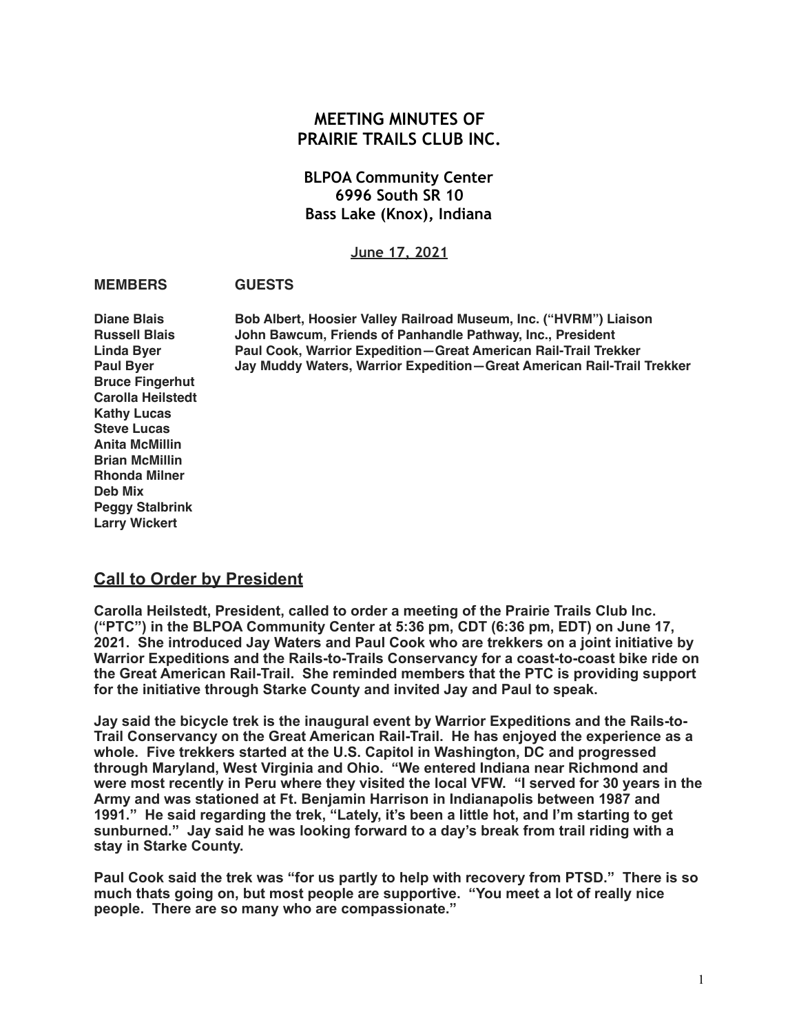# **MEETING MINUTES OF PRAIRIE TRAILS CLUB INC.**

## **BLPOA Community Center 6996 South SR 10 Bass Lake (Knox), Indiana**

**June 17, 2021**

### **MEMBERS GUESTS**

**Bruce Fingerhut Carolla Heilstedt Kathy Lucas Steve Lucas Anita McMillin Brian McMillin Rhonda Milner Deb Mix Peggy Stalbrink Larry Wickert**

**Diane Blais Bob Albert, Hoosier Valley Railroad Museum, Inc. ("HVRM") Liaison Russell Blais John Bawcum, Friends of Panhandle Pathway, Inc., President Linda Byer Paul Cook, Warrior Expedition—Great American Rail-Trail Trekker Paul Byer Jay Muddy Waters, Warrior Expedition—Great American Rail-Trail Trekker**

## **Call to Order by President**

**Carolla Heilstedt, President, called to order a meeting of the Prairie Trails Club Inc. ("PTC") in the BLPOA Community Center at 5:36 pm, CDT (6:36 pm, EDT) on June 17, 2021. She introduced Jay Waters and Paul Cook who are trekkers on a joint initiative by Warrior Expeditions and the Rails-to-Trails Conservancy for a coast-to-coast bike ride on the Great American Rail-Trail. She reminded members that the PTC is providing support for the initiative through Starke County and invited Jay and Paul to speak.** 

**Jay said the bicycle trek is the inaugural event by Warrior Expeditions and the Rails-to-Trail Conservancy on the Great American Rail-Trail. He has enjoyed the experience as a whole. Five trekkers started at the U.S. Capitol in Washington, DC and progressed through Maryland, West Virginia and Ohio. "We entered Indiana near Richmond and were most recently in Peru where they visited the local VFW. "I served for 30 years in the Army and was stationed at Ft. Benjamin Harrison in Indianapolis between 1987 and 1991." He said regarding the trek, "Lately, it's been a little hot, and I'm starting to get sunburned." Jay said he was looking forward to a day's break from trail riding with a stay in Starke County.** 

**Paul Cook said the trek was "for us partly to help with recovery from PTSD." There is so much thats going on, but most people are supportive. "You meet a lot of really nice people. There are so many who are compassionate."**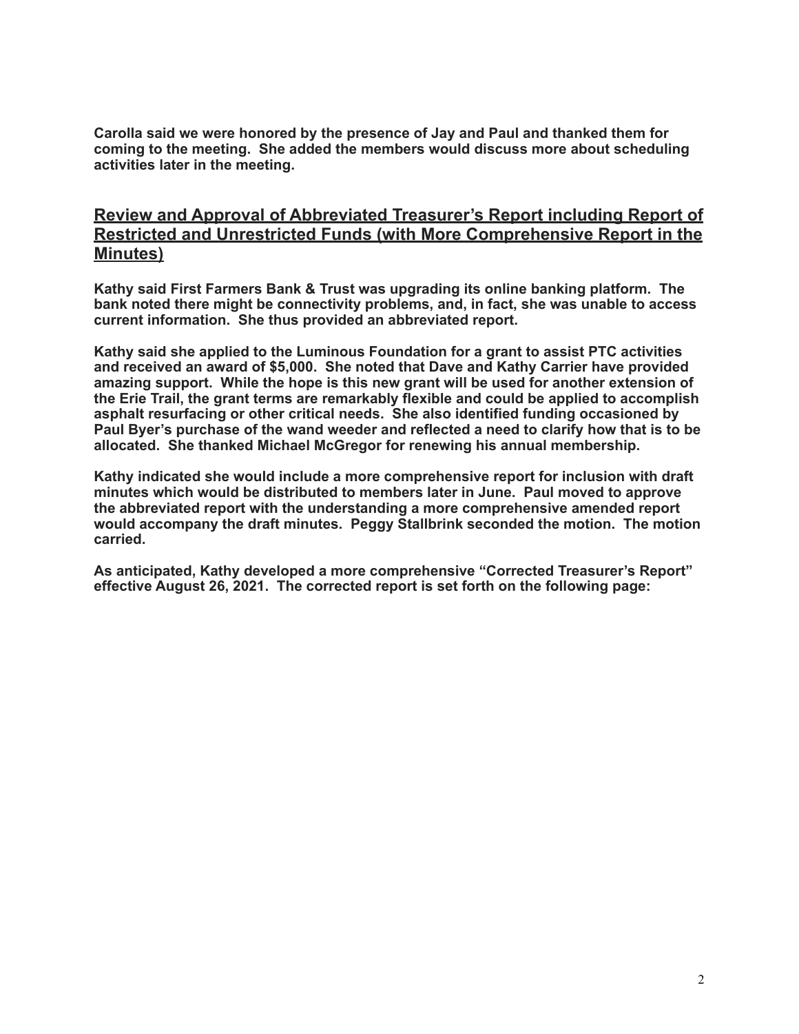**Carolla said we were honored by the presence of Jay and Paul and thanked them for coming to the meeting. She added the members would discuss more about scheduling activities later in the meeting.** 

# **Review and Approval of Abbreviated Treasurer's Report including Report of Restricted and Unrestricted Funds (with More Comprehensive Report in the Minutes)**

**Kathy said First Farmers Bank & Trust was upgrading its online banking platform. The bank noted there might be connectivity problems, and, in fact, she was unable to access current information. She thus provided an abbreviated report.** 

**Kathy said she applied to the Luminous Foundation for a grant to assist PTC activities and received an award of \$5,000. She noted that Dave and Kathy Carrier have provided amazing support. While the hope is this new grant will be used for another extension of the Erie Trail, the grant terms are remarkably flexible and could be applied to accomplish asphalt resurfacing or other critical needs. She also identified funding occasioned by Paul Byer's purchase of the wand weeder and reflected a need to clarify how that is to be allocated. She thanked Michael McGregor for renewing his annual membership.** 

**Kathy indicated she would include a more comprehensive report for inclusion with draft minutes which would be distributed to members later in June. Paul moved to approve the abbreviated report with the understanding a more comprehensive amended report would accompany the draft minutes. Peggy Stallbrink seconded the motion. The motion carried.** 

**As anticipated, Kathy developed a more comprehensive "Corrected Treasurer's Report" effective August 26, 2021. The corrected report is set forth on the following page:**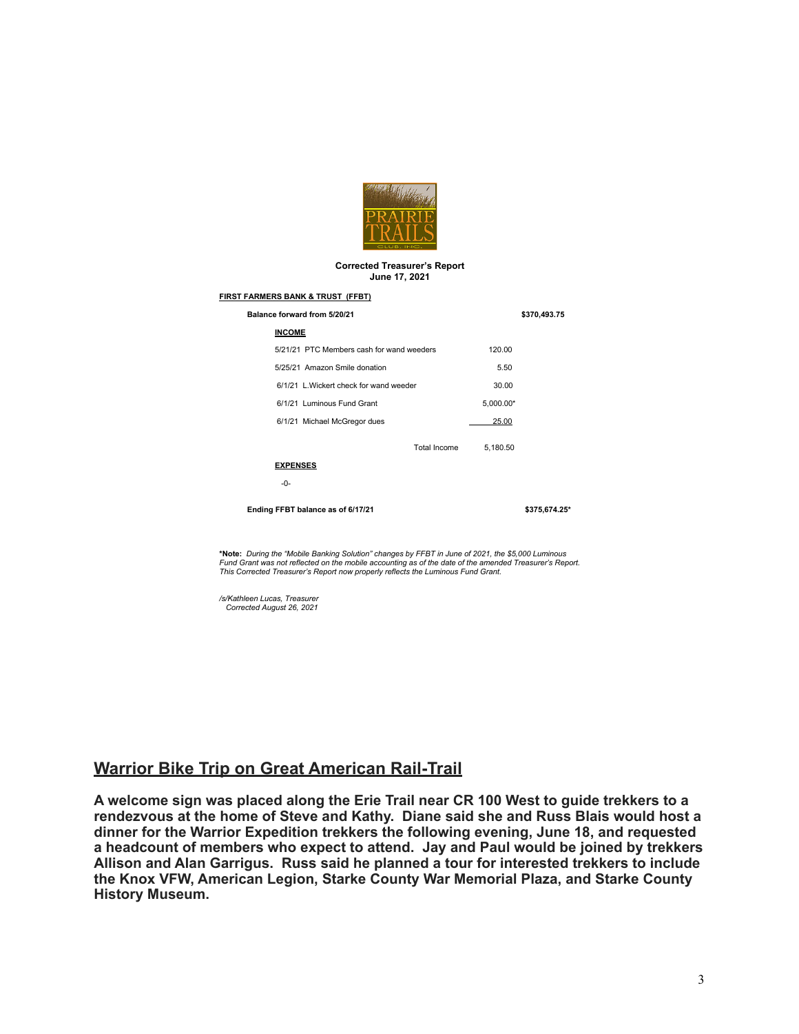

#### **Corrected Treasurer's Report June 17, 2021**

#### **FIRST FARMERS BANK & TRUST (FFBT)**

| Balance forward from 5/20/21              |           | \$370,493.75  |
|-------------------------------------------|-----------|---------------|
| <b>INCOME</b>                             |           |               |
| 5/21/21 PTC Members cash for wand weeders | 120.00    |               |
| 5/25/21 Amazon Smile donation             | 5.50      |               |
| 6/1/21 L. Wickert check for wand weeder   | 30.00     |               |
| 6/1/21 Luminous Fund Grant                | 5,000.00* |               |
| 6/1/21 Michael McGregor dues              | 25.00     |               |
| Total Income                              | 5,180.50  |               |
| <b>EXPENSES</b>                           |           |               |
| $-0-$                                     |           |               |
| Ending FFBT balance as of 6/17/21         |           | \$375,674.25* |
|                                           |           |               |

**\*Note:** *During the "Mobile Banking Solution" changes by FFBT in June of 2021, the \$5,000 Luminous Fund Grant was not reflected on the mobile accounting as of the date of the amended Treasurer's Report. This Corrected Treasurer's Report now properly reflects the Luminous Fund Grant.* 

*/s/Kathleen Lucas, Treasurer Corrected August 26, 2021*

## **Warrior Bike Trip on Great American Rail-Trail**

**A welcome sign was placed along the Erie Trail near CR 100 West to guide trekkers to a rendezvous at the home of Steve and Kathy. Diane said she and Russ Blais would host a dinner for the Warrior Expedition trekkers the following evening, June 18, and requested a headcount of members who expect to attend. Jay and Paul would be joined by trekkers Allison and Alan Garrigus. Russ said he planned a tour for interested trekkers to include the Knox VFW, American Legion, Starke County War Memorial Plaza, and Starke County History Museum.**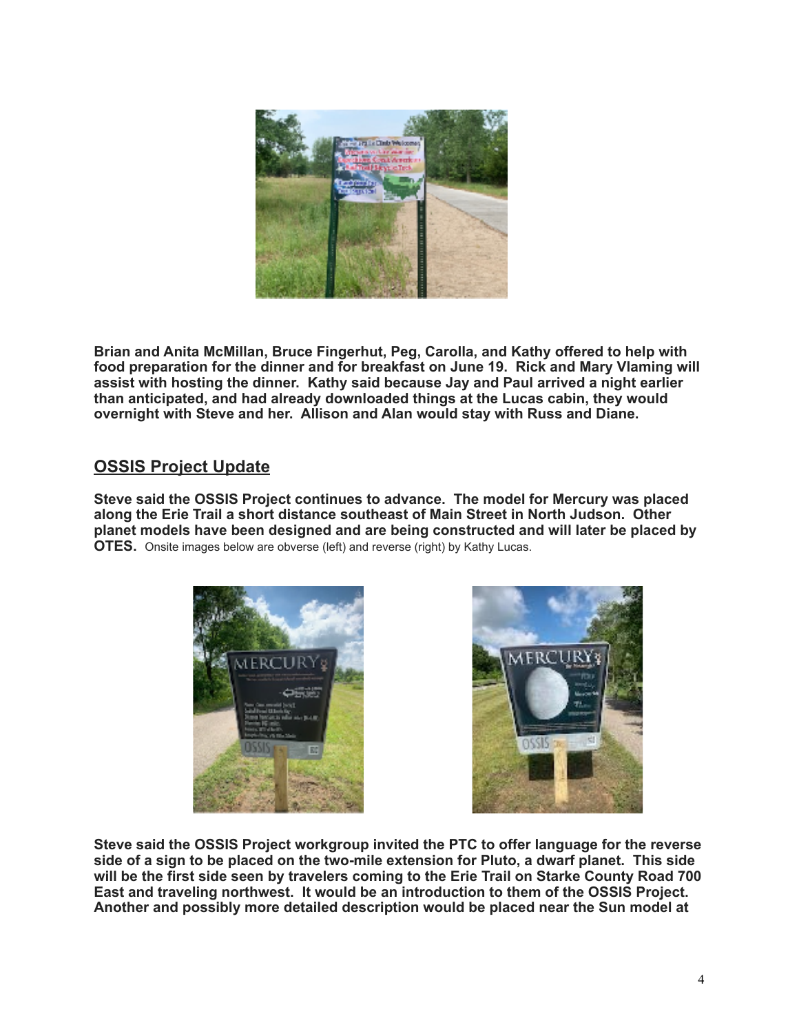

**Brian and Anita McMillan, Bruce Fingerhut, Peg, Carolla, and Kathy offered to help with food preparation for the dinner and for breakfast on June 19. Rick and Mary Vlaming will assist with hosting the dinner. Kathy said because Jay and Paul arrived a night earlier than anticipated, and had already downloaded things at the Lucas cabin, they would overnight with Steve and her. Allison and Alan would stay with Russ and Diane.** 

# **OSSIS Project Update**

**Steve said the OSSIS Project continues to advance. The model for Mercury was placed along the Erie Trail a short distance southeast of Main Street in North Judson. Other planet models have been designed and are being constructed and will later be placed by OTES.** Onsite images below are obverse (left) and reverse (right) by Kathy Lucas.





**Steve said the OSSIS Project workgroup invited the PTC to offer language for the reverse side of a sign to be placed on the two-mile extension for Pluto, a dwarf planet. This side will be the first side seen by travelers coming to the Erie Trail on Starke County Road 700 East and traveling northwest. It would be an introduction to them of the OSSIS Project. Another and possibly more detailed description would be placed near the Sun model at**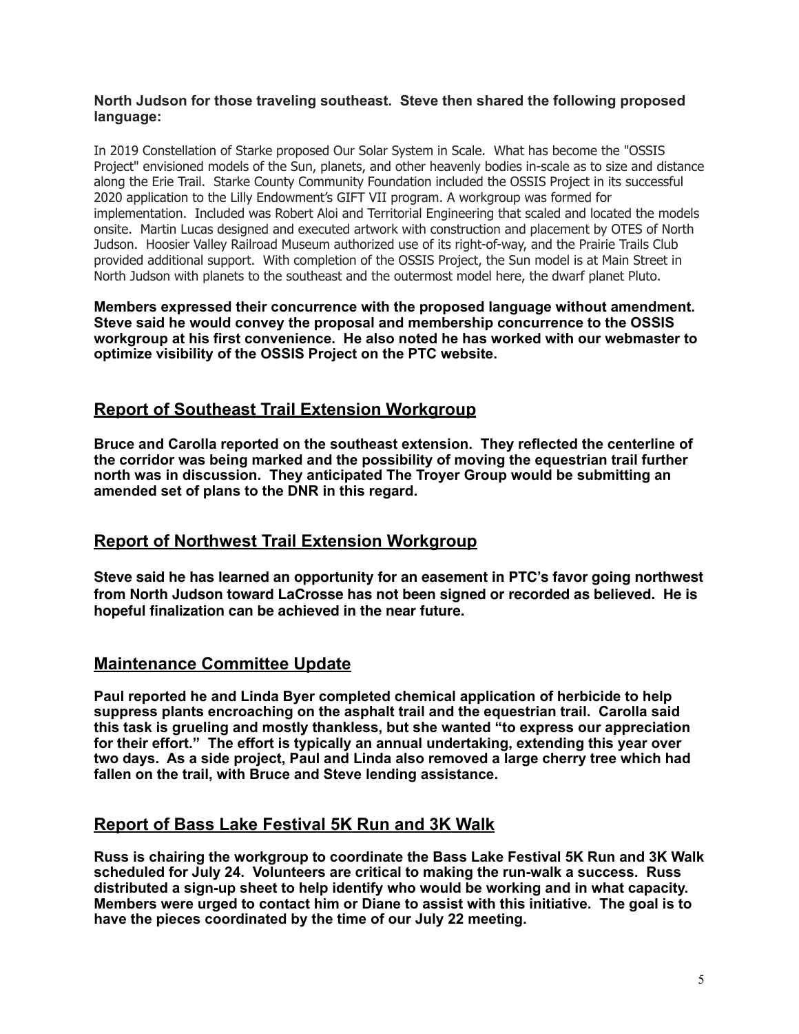### **North Judson for those traveling southeast. Steve then shared the following proposed language:**

In 2019 Constellation of Starke proposed Our Solar System in Scale. What has become the "OSSIS Project" envisioned models of the Sun, planets, and other heavenly bodies in-scale as to size and distance along the Erie Trail. Starke County Community Foundation included the OSSIS Project in its successful 2020 application to the Lilly Endowment's GIFT VII program. A workgroup was formed for implementation. Included was Robert Aloi and Territorial Engineering that scaled and located the models onsite. Martin Lucas designed and executed artwork with construction and placement by OTES of North Judson. Hoosier Valley Railroad Museum authorized use of its right-of-way, and the Prairie Trails Club provided additional support. With completion of the OSSIS Project, the Sun model is at Main Street in North Judson with planets to the southeast and the outermost model here, the dwarf planet Pluto.

**Members expressed their concurrence with the proposed language without amendment. Steve said he would convey the proposal and membership concurrence to the OSSIS workgroup at his first convenience. He also noted he has worked with our webmaster to optimize visibility of the OSSIS Project on the PTC website.** 

# **Report of Southeast Trail Extension Workgroup**

**Bruce and Carolla reported on the southeast extension. They reflected the centerline of the corridor was being marked and the possibility of moving the equestrian trail further north was in discussion. They anticipated The Troyer Group would be submitting an amended set of plans to the DNR in this regard.** 

## **Report of Northwest Trail Extension Workgroup**

**Steve said he has learned an opportunity for an easement in PTC's favor going northwest from North Judson toward LaCrosse has not been signed or recorded as believed. He is hopeful finalization can be achieved in the near future.**

# **Maintenance Committee Update**

**Paul reported he and Linda Byer completed chemical application of herbicide to help suppress plants encroaching on the asphalt trail and the equestrian trail. Carolla said this task is grueling and mostly thankless, but she wanted "to express our appreciation for their effort." The effort is typically an annual undertaking, extending this year over two days. As a side project, Paul and Linda also removed a large cherry tree which had fallen on the trail, with Bruce and Steve lending assistance.** 

# **Report of Bass Lake Festival 5K Run and 3K Walk**

**Russ is chairing the workgroup to coordinate the Bass Lake Festival 5K Run and 3K Walk scheduled for July 24. Volunteers are critical to making the run-walk a success. Russ distributed a sign-up sheet to help identify who would be working and in what capacity. Members were urged to contact him or Diane to assist with this initiative. The goal is to have the pieces coordinated by the time of our July 22 meeting.**